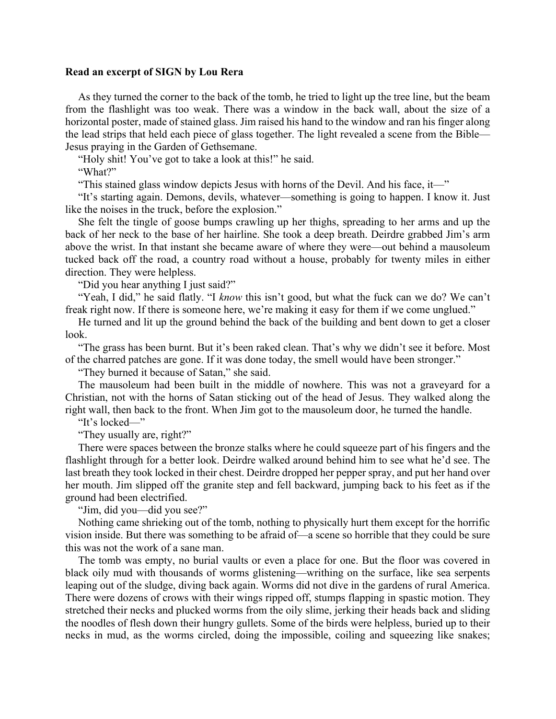## **Read an excerpt of SIGN by Lou Rera**

As they turned the corner to the back of the tomb, he tried to light up the tree line, but the beam from the flashlight was too weak. There was a window in the back wall, about the size of a horizontal poster, made of stained glass. Jim raised his hand to the window and ran his finger along the lead strips that held each piece of glass together. The light revealed a scene from the Bible— Jesus praying in the Garden of Gethsemane.

"Holy shit! You've got to take a look at this!" he said.

"What?"

"This stained glass window depicts Jesus with horns of the Devil. And his face, it—"

"It's starting again. Demons, devils, whatever—something is going to happen. I know it. Just like the noises in the truck, before the explosion."

She felt the tingle of goose bumps crawling up her thighs, spreading to her arms and up the back of her neck to the base of her hairline. She took a deep breath. Deirdre grabbed Jim's arm above the wrist. In that instant she became aware of where they were—out behind a mausoleum tucked back off the road, a country road without a house, probably for twenty miles in either direction. They were helpless.

"Did you hear anything I just said?"

"Yeah, I did," he said flatly. "I *know* this isn't good, but what the fuck can we do? We can't freak right now. If there is someone here, we're making it easy for them if we come unglued."

He turned and lit up the ground behind the back of the building and bent down to get a closer look.

"The grass has been burnt. But it's been raked clean. That's why we didn't see it before. Most of the charred patches are gone. If it was done today, the smell would have been stronger."

"They burned it because of Satan," she said.

The mausoleum had been built in the middle of nowhere. This was not a graveyard for a Christian, not with the horns of Satan sticking out of the head of Jesus. They walked along the right wall, then back to the front. When Jim got to the mausoleum door, he turned the handle.

"It's locked—"

"They usually are, right?"

There were spaces between the bronze stalks where he could squeeze part of his fingers and the flashlight through for a better look. Deirdre walked around behind him to see what he'd see. The last breath they took locked in their chest. Deirdre dropped her pepper spray, and put her hand over her mouth. Jim slipped off the granite step and fell backward, jumping back to his feet as if the ground had been electrified.

"Jim, did you—did you see?"

Nothing came shrieking out of the tomb, nothing to physically hurt them except for the horrific vision inside. But there was something to be afraid of—a scene so horrible that they could be sure this was not the work of a sane man.

The tomb was empty, no burial vaults or even a place for one. But the floor was covered in black oily mud with thousands of worms glistening—writhing on the surface, like sea serpents leaping out of the sludge, diving back again. Worms did not dive in the gardens of rural America. There were dozens of crows with their wings ripped off, stumps flapping in spastic motion. They stretched their necks and plucked worms from the oily slime, jerking their heads back and sliding the noodles of flesh down their hungry gullets. Some of the birds were helpless, buried up to their necks in mud, as the worms circled, doing the impossible, coiling and squeezing like snakes;